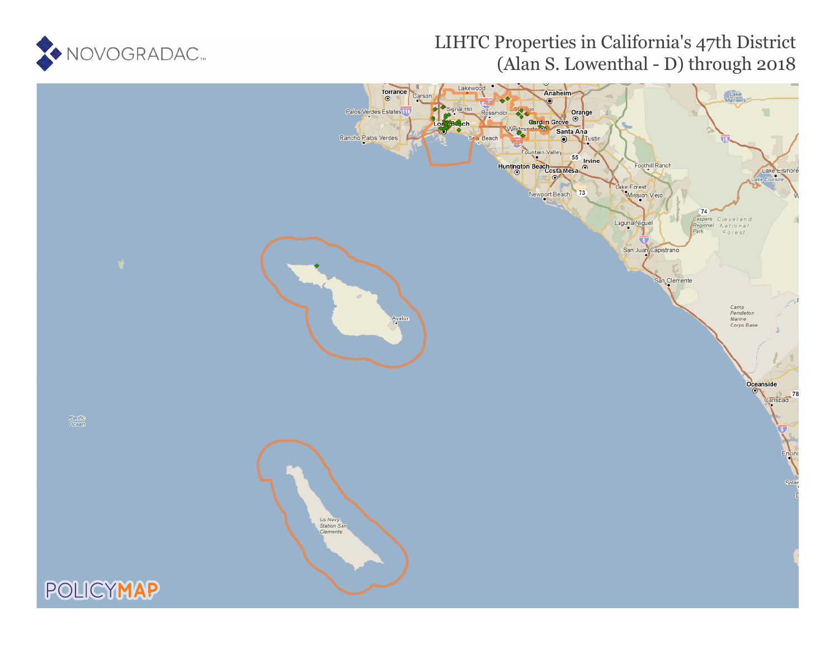

# LIHTC Properties in California's 47th District (Alan S. Lowenthal - D) through 2018

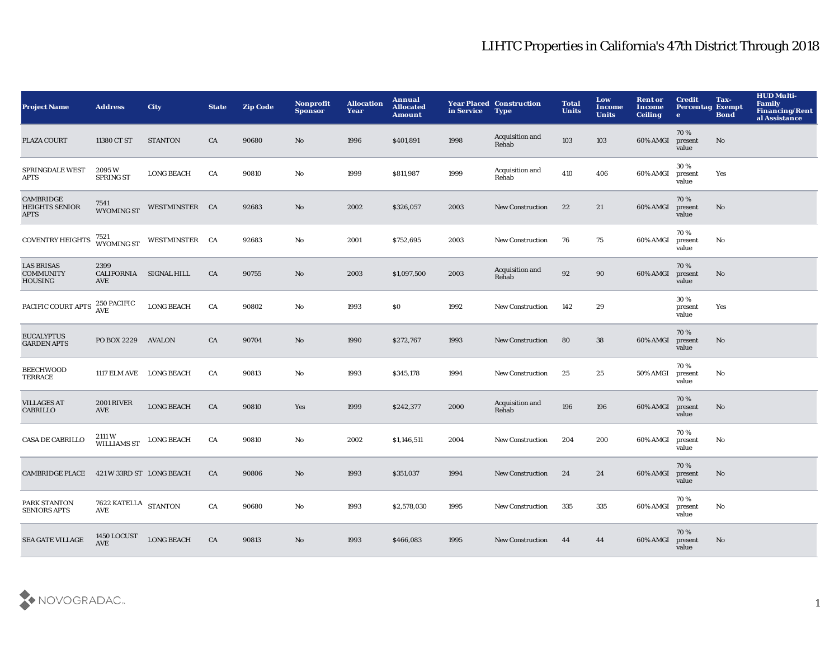| <b>Project Name</b>                                     | <b>Address</b>                        | City              | <b>State</b> | <b>Zip Code</b> | Nonprofit<br><b>Sponsor</b> | <b>Allocation</b><br>Year | Annual<br><b>Allocated</b><br><b>Amount</b> | in Service | <b>Year Placed Construction</b><br><b>Type</b> | <b>Total</b><br><b>Units</b> | Low<br><b>Income</b><br><b>Units</b> | <b>Rent or</b><br><b>Income</b><br><b>Ceiling</b> | <b>Credit</b><br><b>Percentag Exempt</b><br>$\bullet$ | Tax-<br><b>Bond</b> | <b>HUD Multi-</b><br><b>Family</b><br><b>Financing/Rent</b><br>al Assistance |
|---------------------------------------------------------|---------------------------------------|-------------------|--------------|-----------------|-----------------------------|---------------------------|---------------------------------------------|------------|------------------------------------------------|------------------------------|--------------------------------------|---------------------------------------------------|-------------------------------------------------------|---------------------|------------------------------------------------------------------------------|
| PLAZA COURT                                             | 11380 CT ST                           | <b>STANTON</b>    | CA           | 90680           | No                          | 1996                      | \$401,891                                   | 1998       | Acquisition and<br>Rehab                       | 103                          | 103                                  | 60% AMGI                                          | 70%<br>present<br>value                               | No                  |                                                                              |
| <b>SPRINGDALE WEST</b><br>APTS                          | 2095 W<br><b>SPRING ST</b>            | <b>LONG BEACH</b> | CA           | 90810           | No                          | 1999                      | \$811,987                                   | 1999       | Acquisition and<br>Rehab                       | 410                          | 406                                  | 60% AMGI                                          | 30%<br>present<br>value                               | Yes                 |                                                                              |
| CAMBRIDGE<br><b>HEIGHTS SENIOR</b><br>APTS              | 7541<br><b>WYOMING ST</b>             | WESTMINSTER CA    |              | 92683           | No                          | 2002                      | \$326,057                                   | 2003       | <b>New Construction</b>                        | 22                           | 21                                   | 60% AMGI                                          | 70%<br>present<br>value                               | No                  |                                                                              |
| <b>COVENTRY HEIGHTS</b>                                 | 7521<br>WYOMING ST                    | WESTMINSTER CA    |              | 92683           | No                          | 2001                      | \$752,695                                   | 2003       | <b>New Construction</b>                        | 76                           | 75                                   | 60% AMGI                                          | 70%<br>present<br>value                               | No                  |                                                                              |
| <b>LAS BRISAS</b><br><b>COMMUNITY</b><br><b>HOUSING</b> | 2399<br>CALIFORNIA SIGNAL HILL<br>AVE |                   | CA           | 90755           | No                          | 2003                      | \$1,097,500                                 | 2003       | Acquisition and<br>Rehab                       | 92                           | 90                                   | 60% AMGI                                          | 70%<br>present<br>value                               | $\mathbf{No}$       |                                                                              |
| PACIFIC COURT APTS                                      | 250 PACIFIC<br>AVE                    | <b>LONG BEACH</b> | CA           | 90802           | No                          | 1993                      | S <sub>0</sub>                              | 1992       | <b>New Construction</b>                        | 142                          | 29                                   |                                                   | 30%<br>present<br>value                               | Yes                 |                                                                              |
| <b>EUCALYPTUS</b><br><b>GARDEN APTS</b>                 | PO BOX 2229                           | <b>AVALON</b>     | CA           | 90704           | No                          | 1990                      | \$272,767                                   | 1993       | New Construction                               | 80                           | 38                                   | 60% AMGI                                          | 70%<br>present<br>value                               | $\mathbf{No}$       |                                                                              |
| <b>BEECHWOOD</b><br>TERRACE                             | 1117 ELM AVE LONG BEACH               |                   | CA           | 90813           | No                          | 1993                      | \$345,178                                   | 1994       | <b>New Construction</b>                        | 25                           | 25                                   | 50% AMGI                                          | 70 %<br>present<br>value                              | No                  |                                                                              |
| <b>VILLAGES AT</b><br><b>CABRILLO</b>                   | <b>2001 RIVER</b><br><b>AVE</b>       | <b>LONG BEACH</b> | CA           | 90810           | Yes                         | 1999                      | \$242,377                                   | 2000       | Acquisition and<br>Rehab                       | 196                          | 196                                  | 60% AMGI                                          | 70%<br>present<br>value                               | $\mathbf{No}$       |                                                                              |
| <b>CASA DE CABRILLO</b>                                 | 2111W<br><b>WILLIAMS ST</b>           | <b>LONG BEACH</b> | CA           | 90810           | No                          | 2002                      | \$1,146,511                                 | 2004       | <b>New Construction</b>                        | 204                          | 200                                  | 60% AMGI                                          | 70%<br>present<br>value                               | No                  |                                                                              |
| <b>CAMBRIDGE PLACE</b>                                  | 421 W 33RD ST LONG BEACH              |                   | CA           | 90806           | No                          | 1993                      | \$351,037                                   | 1994       | <b>New Construction</b>                        | 24                           | 24                                   | 60% AMGI                                          | 70%<br>present<br>value                               | No                  |                                                                              |
| PARK STANTON<br><b>SENIORS APTS</b>                     | 7622 KATELLA STANTON<br>AVE           |                   | CA           | 90680           | No                          | 1993                      | \$2,578,030                                 | 1995       | <b>New Construction</b>                        | 335                          | 335                                  | 60% AMGI                                          | 70%<br>present<br>value                               | No                  |                                                                              |
| <b>SEA GATE VILLAGE</b>                                 | 1450 LOCUST<br><b>AVE</b>             | <b>LONG BEACH</b> | CA           | 90813           | No                          | 1993                      | \$466,083                                   | 1995       | <b>New Construction</b>                        | 44                           | 44                                   | 60% AMGI                                          | 70%<br>present<br>value                               | No                  |                                                                              |

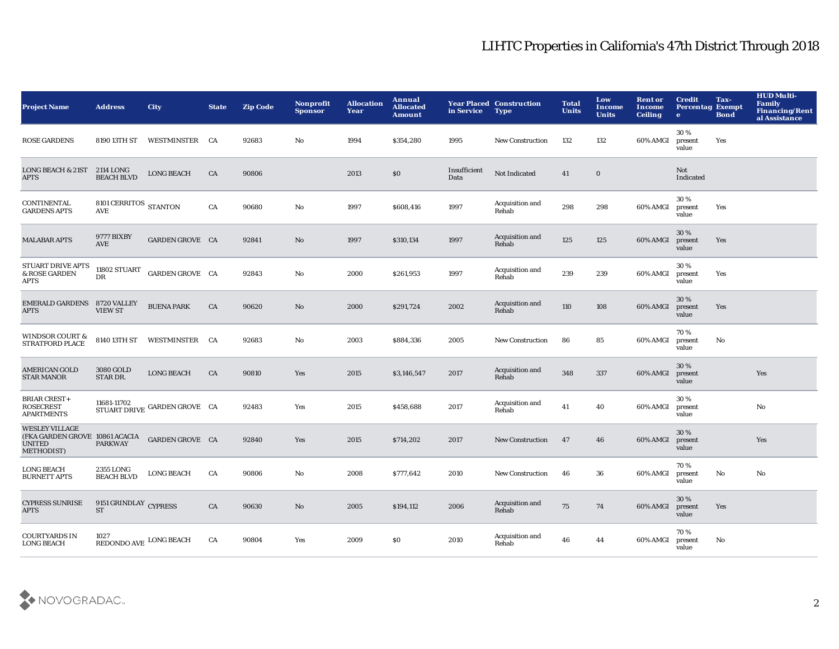| <b>Project Name</b>                                                                    | <b>Address</b>                     | City                         | <b>State</b> | <b>Zip Code</b> | Nonprofit<br><b>Sponsor</b> | <b>Allocation</b><br>Year | Annual<br><b>Allocated</b><br>Amount | in Service           | <b>Year Placed Construction</b><br><b>Type</b> | <b>Total</b><br><b>Units</b> | Low<br>Income<br><b>Units</b> | <b>Rent or</b><br><b>Income</b><br><b>Ceiling</b> | <b>Credit</b><br><b>Percentag Exempt</b><br>$\bullet$ | Tax-<br><b>Bond</b> | <b>HUD Multi-</b><br>Family<br>Financing/Rent<br>al Assistance |
|----------------------------------------------------------------------------------------|------------------------------------|------------------------------|--------------|-----------------|-----------------------------|---------------------------|--------------------------------------|----------------------|------------------------------------------------|------------------------------|-------------------------------|---------------------------------------------------|-------------------------------------------------------|---------------------|----------------------------------------------------------------|
| <b>ROSE GARDENS</b>                                                                    | 8190 13TH ST                       | WESTMINSTER CA               |              | 92683           | No                          | 1994                      | \$354,280                            | 1995                 | <b>New Construction</b>                        | 132                          | 132                           | 60% AMGI                                          | 30%<br>present<br>value                               | Yes                 |                                                                |
| <b>LONG BEACH &amp; 21ST</b><br><b>APTS</b>                                            | 2114 LONG<br><b>BEACH BLVD</b>     | <b>LONG BEACH</b>            | CA           | 90806           |                             | 2013                      | \$0                                  | Insufficient<br>Data | Not Indicated                                  | 41                           | $\bf{0}$                      |                                                   | Not<br>Indicated                                      |                     |                                                                |
| <b>CONTINENTAL</b><br><b>GARDENS APTS</b>                                              | 8101 CERRITOS STANTON<br>AVE       |                              | CA           | 90680           | No                          | 1997                      | \$608,416                            | 1997                 | Acquisition and<br>Rehab                       | 298                          | 298                           | 60% AMGI                                          | 30%<br>present<br>value                               | Yes                 |                                                                |
| <b>MALABAR APTS</b>                                                                    | 9777 BIXBY<br>AVE                  | <b>GARDEN GROVE CA</b>       |              | 92841           | No                          | 1997                      | \$310,134                            | 1997                 | Acquisition and<br>Rehab                       | 125                          | 125                           | 60% AMGI                                          | 30 %<br>present<br>value                              | Yes                 |                                                                |
| STUART DRIVE APTS<br>& ROSE GARDEN<br>APTS                                             | <b>11802 STUART</b><br>$_{\rm DR}$ | <b>GARDEN GROVE CA</b>       |              | 92843           | No                          | 2000                      | \$261,953                            | 1997                 | Acquisition and<br>Rehab                       | 239                          | 239                           | 60% AMGI                                          | 30%<br>present<br>value                               | Yes                 |                                                                |
| EMERALD GARDENS 8720 VALLEY<br><b>APTS</b>                                             | <b>VIEW ST</b>                     | <b>BUENA PARK</b>            | CA           | 90620           | No                          | 2000                      | \$291,724                            | 2002                 | Acquisition and<br>Rehab                       | 110                          | 108                           | 60% AMGI                                          | 30 %<br>present<br>value                              | Yes                 |                                                                |
| <b>WINDSOR COURT &amp;</b><br>STRATFORD PLACE                                          | 8140 13TH ST                       | WESTMINSTER CA               |              | 92683           | No                          | 2003                      | \$884,336                            | 2005                 | <b>New Construction</b>                        | 86                           | 85                            | 60% AMGI                                          | 70%<br>present<br>value                               | No                  |                                                                |
| AMERICAN GOLD<br><b>STAR MANOR</b>                                                     | 3080 GOLD<br>STAR DR.              | <b>LONG BEACH</b>            | CA           | 90810           | Yes                         | 2015                      | \$3,146,547                          | 2017                 | Acquisition and<br>Rehab                       | 348                          | 337                           | 60% AMGI                                          | 30 %<br>present<br>value                              |                     | Yes                                                            |
| <b>BRIAR CREST+</b><br><b>ROSECREST</b><br><b>APARTMENTS</b>                           | 11681-11702                        | STUART DRIVE GARDEN GROVE CA |              | 92483           | Yes                         | 2015                      | \$458,688                            | 2017                 | Acquisition and<br>Rehab                       | 41                           | 40                            | 60% AMGI                                          | 30%<br>present<br>value                               |                     | No                                                             |
| <b>WESLEY VILLAGE</b><br>(FKA GARDEN GROVE 10861 ACACIA<br><b>UNITED</b><br>METHODIST) | <b>PARKWAY</b>                     | <b>GARDEN GROVE CA</b>       |              | 92840           | Yes                         | 2015                      | \$714,202                            | 2017                 | <b>New Construction</b>                        | 47                           | 46                            | 60% AMGI                                          | 30%<br>present<br>value                               |                     | Yes                                                            |
| <b>LONG BEACH</b><br><b>BURNETT APTS</b>                                               | 2355 LONG<br><b>BEACH BLVD</b>     | <b>LONG BEACH</b>            | CA           | 90806           | No                          | 2008                      | \$777,642                            | 2010                 | <b>New Construction</b>                        | 46                           | 36                            | 60% AMGI                                          | 70%<br>present<br>value                               | No                  | No                                                             |
| <b>CYPRESS SUNRISE</b><br><b>APTS</b>                                                  | 9151 GRINDLAY CYPRESS<br><b>ST</b> |                              | CA           | 90630           | No                          | 2005                      | \$194,112                            | 2006                 | Acquisition and<br>Rehab                       | 75                           | 74                            | 60% AMGI                                          | 30 %<br>present<br>value                              | Yes                 |                                                                |
| <b>COURTYARDS IN</b><br><b>LONG BEACH</b>                                              | 1027<br>REDONDO AVE LONG BEACH     |                              | CA           | 90804           | Yes                         | 2009                      | <b>SO</b>                            | 2010                 | Acquisition and<br>Rehab                       | 46                           | 44                            | 60% AMGI                                          | 70%<br>present<br>value                               | No                  |                                                                |

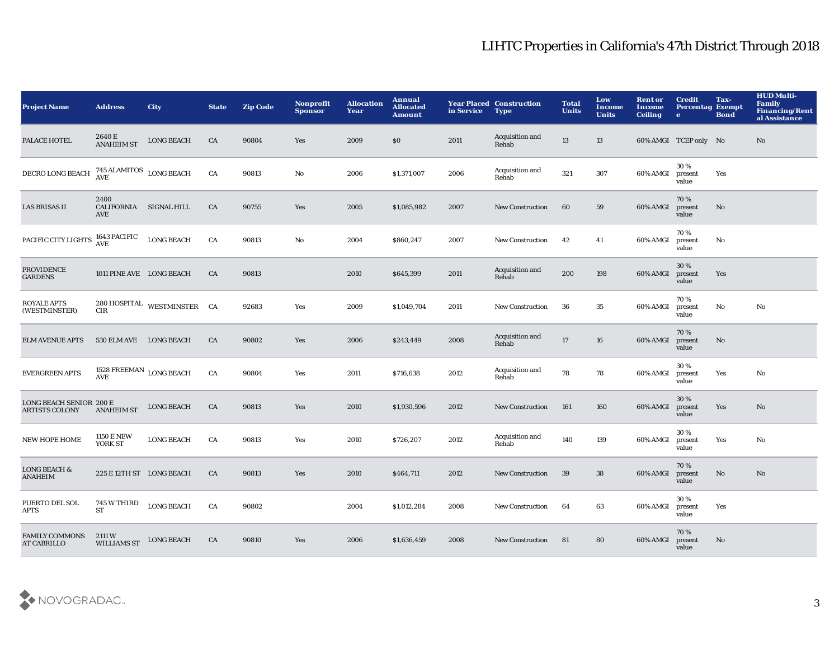| <b>Project Name</b>                              | <b>Address</b>                            | <b>City</b>                 | <b>State</b> | <b>Zip Code</b> | Nonprofit<br><b>Sponsor</b> | <b>Allocation</b><br>Year | Annual<br><b>Allocated</b><br><b>Amount</b> | in Service | <b>Year Placed Construction</b><br><b>Type</b> | <b>Total</b><br><b>Units</b> | Low<br><b>Income</b><br><b>Units</b> | <b>Rent or</b><br>Income<br><b>Ceiling</b> | <b>Credit</b><br><b>Percentag Exempt</b><br>$\bullet$ | Tax-<br><b>Bond</b> | <b>HUD Multi-</b><br><b>Family</b><br>Financing/Rent<br>al Assistance |
|--------------------------------------------------|-------------------------------------------|-----------------------------|--------------|-----------------|-----------------------------|---------------------------|---------------------------------------------|------------|------------------------------------------------|------------------------------|--------------------------------------|--------------------------------------------|-------------------------------------------------------|---------------------|-----------------------------------------------------------------------|
| PALACE HOTEL                                     | 2640 E<br><b>ANAHEIM ST</b>               | <b>LONG BEACH</b>           | CA           | 90804           | Yes                         | 2009                      | \$0\$                                       | 2011       | Acquisition and<br>Rehab                       | 13                           | 13                                   |                                            | 60% AMGI TCEP only No                                 |                     | No                                                                    |
| DECRO LONG BEACH                                 | $745$ ALAMITOS $\,$ LONG BEACH $\,$ AVE   |                             | CA           | 90813           | No                          | 2006                      | \$1,371,007                                 | 2006       | Acquisition and<br>Rehab                       | 321                          | 307                                  | 60% AMGI                                   | 30%<br>present<br>value                               | Yes                 |                                                                       |
| LAS BRISAS II                                    | 2400<br>CALIFORNIA SIGNAL HILL<br>AVE     |                             | CA           | 90755           | Yes                         | 2005                      | \$1,085,982                                 | 2007       | <b>New Construction</b>                        | 60                           | 59                                   | 60% AMGI                                   | 70%<br>present<br>value                               | No                  |                                                                       |
| PACIFIC CITY LIGHTS                              | <b>1643 PACIFIC</b><br><b>AVE</b>         | <b>LONG BEACH</b>           | CA           | 90813           | No                          | 2004                      | \$860,247                                   | 2007       | <b>New Construction</b>                        | 42                           | 41                                   | 60% AMGI                                   | 70%<br>present<br>value                               | No                  |                                                                       |
| <b>PROVIDENCE</b><br><b>GARDENS</b>              | 1011 PINE AVE LONG BEACH                  |                             | CA           | 90813           |                             | 2010                      | \$645,399                                   | 2011       | Acquisition and<br>Rehab                       | 200                          | 198                                  | 60% AMGI                                   | 30%<br>present<br>value                               | Yes                 |                                                                       |
| <b>ROYALE APTS</b><br>(WESTMINSTER)              | CIR                                       | 280 HOSPITAL WESTMINSTER CA |              | 92683           | Yes                         | 2009                      | \$1,049,704                                 | 2011       | <b>New Construction</b>                        | 36                           | 35                                   | 60% AMGI                                   | 70%<br>present<br>value                               | No                  | No                                                                    |
| <b>ELM AVENUE APTS</b>                           | 530 ELM AVE LONG BEACH                    |                             | CA           | 90802           | Yes                         | 2006                      | \$243,449                                   | 2008       | Acquisition and<br>Rehab                       | $17\,$                       | 16                                   | 60% AMGI                                   | 70%<br>present<br>value                               | No                  |                                                                       |
| <b>EVERGREEN APTS</b>                            | 1528 FREEMAN $_{\rm{LONG\ BEACH}}$<br>AVE |                             | ${\rm CA}$   | 90804           | Yes                         | 2011                      | \$716,638                                   | 2012       | Acquisition and<br>Rehab                       | 78                           | 78                                   | 60% AMGI                                   | 30%<br>present<br>value                               | Yes                 | No                                                                    |
| LONG BEACH SENIOR 200 E<br><b>ARTISTS COLONY</b> | <b>ANAHEIM ST</b>                         | <b>LONG BEACH</b>           | CA           | 90813           | Yes                         | 2010                      | \$1,930,596                                 | 2012       | <b>New Construction</b>                        | 161                          | 160                                  | 60% AMGI                                   | 30%<br>present<br>value                               | Yes                 | $\mathbf{N}\mathbf{o}$                                                |
| <b>NEW HOPE HOME</b>                             | <b>1150 E NEW</b><br>YORK ST              | <b>LONG BEACH</b>           | CA           | 90813           | Yes                         | 2010                      | \$726,207                                   | 2012       | Acquisition and<br>Rehab                       | 140                          | 139                                  | 60% AMGI                                   | 30%<br>present<br>value                               | Yes                 | No                                                                    |
| <b>LONG BEACH &amp;</b><br><b>ANAHEIM</b>        | 225 E 12TH ST LONG BEACH                  |                             | CA           | 90813           | Yes                         | 2010                      | \$464,711                                   | 2012       | <b>New Construction</b>                        | 39                           | 38                                   | 60% AMGI                                   | 70%<br>present<br>value                               | No                  | No                                                                    |
| PUERTO DEL SOL<br>APTS                           | 745 W THIRD<br><b>ST</b>                  | <b>LONG BEACH</b>           | CA           | 90802           |                             | 2004                      | \$1,012,284                                 | 2008       | <b>New Construction</b>                        | 64                           | 63                                   | 60% AMGI                                   | 30%<br>present<br>value                               | Yes                 |                                                                       |
| <b>FAMILY COMMONS</b><br><b>AT CABRILLO</b>      | 2111 W<br><b>WILLIAMS ST</b>              | <b>LONG BEACH</b>           | CA           | 90810           | Yes                         | 2006                      | \$1,636,459                                 | 2008       | <b>New Construction</b>                        | 81                           | 80                                   | 60% AMGI                                   | 70%<br>present<br>value                               | No                  |                                                                       |

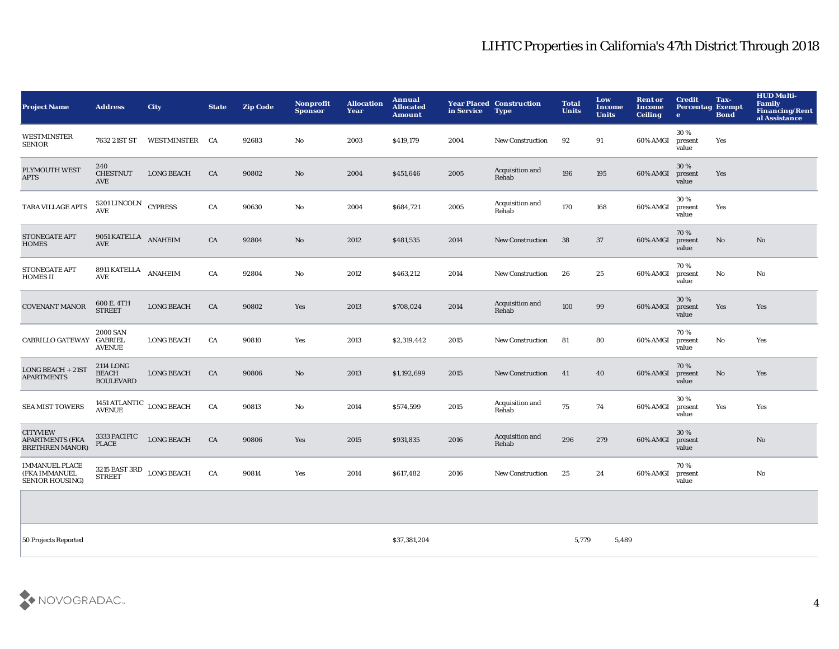| <b>Project Name</b>                                                 | <b>Address</b>                                              | City              | <b>State</b> | <b>Zip Code</b> | Nonprofit<br><b>Sponsor</b> | <b>Allocation</b><br>Year | Annual<br><b>Allocated</b><br><b>Amount</b> | in Service | <b>Year Placed Construction</b><br><b>Type</b> | <b>Total</b><br><b>Units</b> | Low<br><b>Income</b><br><b>Units</b> | <b>Rent or</b><br>Income<br><b>Ceiling</b> | <b>Credit</b><br><b>Percentag Exempt</b><br>$\bullet$ | Tax-<br><b>Bond</b>    | <b>HUD Multi-</b><br>Family<br><b>Financing/Rent</b><br>al Assistance |
|---------------------------------------------------------------------|-------------------------------------------------------------|-------------------|--------------|-----------------|-----------------------------|---------------------------|---------------------------------------------|------------|------------------------------------------------|------------------------------|--------------------------------------|--------------------------------------------|-------------------------------------------------------|------------------------|-----------------------------------------------------------------------|
| WESTMINSTER<br><b>SENIOR</b>                                        | 7632 21ST ST                                                | WESTMINSTER CA    |              | 92683           | No                          | 2003                      | \$419,179                                   | 2004       | <b>New Construction</b>                        | 92                           | 91                                   | 60% AMGI                                   | 30%<br>present<br>value                               | Yes                    |                                                                       |
| PLYMOUTH WEST<br><b>APTS</b>                                        | 240<br><b>CHESTNUT</b><br>AVE                               | <b>LONG BEACH</b> | CA           | 90802           | No                          | 2004                      | \$451,646                                   | 2005       | Acquisition and<br>Rehab                       | 196                          | 195                                  | 60% AMGI                                   | 30 %<br>present<br>value                              | Yes                    |                                                                       |
| TARA VILLAGE APTS                                                   | 5201 LINCOLN CYPRESS<br>AVE                                 |                   | CA           | 90630           | No                          | 2004                      | \$684,721                                   | 2005       | Acquisition and<br>Rehab                       | 170                          | 168                                  | 60% AMGI                                   | 30 %<br>present<br>value                              | Yes                    |                                                                       |
| <b>STONEGATE APT</b><br><b>HOMES</b>                                | 9051 KATELLA ANAHEIM<br>AVE                                 |                   | CA           | 92804           | No                          | 2012                      | \$481,535                                   | 2014       | <b>New Construction</b>                        | 38                           | 37                                   | 60% AMGI                                   | 70%<br>present<br>value                               | No                     | No.                                                                   |
| <b>STONEGATE APT</b><br><b>HOMES II</b>                             | 8911 KATELLA<br>AVE                                         | <b>ANAHEIM</b>    | CA           | 92804           | No                          | 2012                      | \$463,212                                   | 2014       | <b>New Construction</b>                        | 26                           | 25                                   | 60% AMGI                                   | 70%<br>present<br>value                               | $\mathbf{N}\mathbf{o}$ | No                                                                    |
| <b>COVENANT MANOR</b>                                               | 600 E. 4TH<br><b>STREET</b>                                 | <b>LONG BEACH</b> | CA           | 90802           | Yes                         | 2013                      | \$708,024                                   | 2014       | Acquisition and<br>Rehab                       | 100                          | 99                                   | 60% AMGI                                   | 30 %<br>present<br>value                              | Yes                    | Yes                                                                   |
| CABRILLO GATEWAY                                                    | <b>2000 SAN</b><br>GABRIEL<br><b>AVENUE</b>                 | <b>LONG BEACH</b> | CA           | 90810           | Yes                         | 2013                      | \$2,319,442                                 | 2015       | <b>New Construction</b>                        | 81                           | 80                                   | 60% AMGI                                   | 70%<br>present<br>value                               | No                     | Yes                                                                   |
| <b>LONG BEACH + 21ST</b><br><b>APARTMENTS</b>                       | <b>2114 LONG</b><br><b>BEACH</b><br><b>BOULEVARD</b>        | <b>LONG BEACH</b> | CA           | 90806           | No                          | 2013                      | \$1,192,699                                 | 2015       | <b>New Construction</b>                        | 41                           | 40                                   | 60% AMGI                                   | 70%<br>present<br>value                               | No                     | Yes                                                                   |
| <b>SEA MIST TOWERS</b>                                              | $1451\,\mathrm{ATLANTIC}$ $\_$ LONG BEACH AVENUE            |                   | CA           | 90813           | No                          | 2014                      | \$574,599                                   | 2015       | Acquisition and<br>Rehab                       | 75                           | 74                                   | 60% AMGI                                   | 30 %<br>present<br>value                              | Yes                    | Yes                                                                   |
| <b>CITYVIEW</b><br><b>APARTMENTS (FKA</b><br><b>BRETHREN MANOR)</b> | 3333 PACIFIC<br><b>PLACE</b>                                | <b>LONG BEACH</b> | CA           | 90806           | Yes                         | 2015                      | \$931,835                                   | 2016       | Acquisition and<br>Rehab                       | 296                          | 279                                  | 60% AMGI                                   | 30%<br>present<br>value                               |                        | No.                                                                   |
| <b>IMMANUEL PLACE</b><br>(FKA IMMANUEL<br><b>SENIOR HOUSING)</b>    | $3215$ EAST $3\mathrm{RD}$ $\,$ LONG BEACH<br><b>STREET</b> |                   | CA           | 90814           | Yes                         | 2014                      | \$617,482                                   | 2016       | <b>New Construction</b>                        | 25                           | 24                                   | 60% AMGI                                   | 70%<br>present<br>value                               |                        | No                                                                    |
|                                                                     |                                                             |                   |              |                 |                             |                           |                                             |            |                                                |                              |                                      |                                            |                                                       |                        |                                                                       |
|                                                                     |                                                             |                   |              |                 |                             |                           |                                             |            |                                                |                              |                                      |                                            |                                                       |                        |                                                                       |